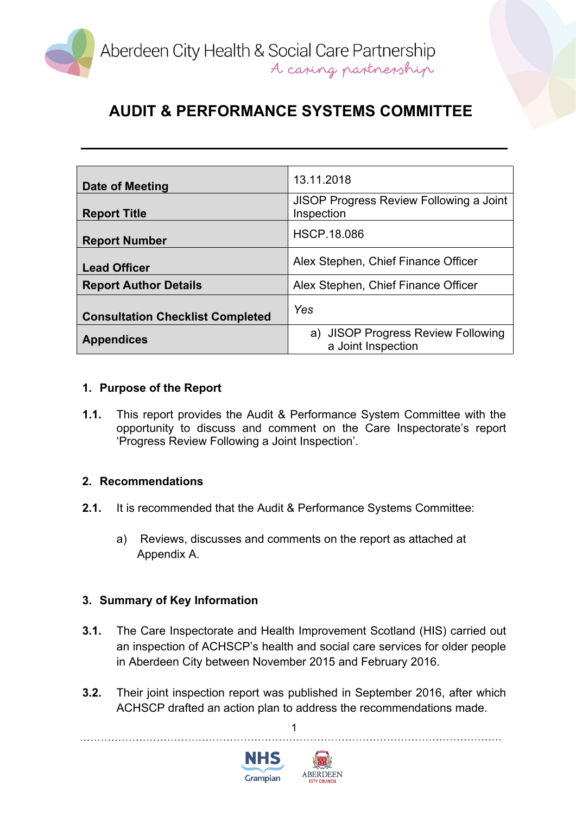

| Date of Meeting                         | 13.11.2018                                                   |
|-----------------------------------------|--------------------------------------------------------------|
| <b>Report Title</b>                     | <b>JISOP Progress Review Following a Joint</b><br>Inspection |
| <b>Report Number</b>                    | <b>HSCP.18.086</b>                                           |
| <b>Lead Officer</b>                     | Alex Stephen, Chief Finance Officer                          |
| <b>Report Author Details</b>            | Alex Stephen, Chief Finance Officer                          |
| <b>Consultation Checklist Completed</b> | Yes                                                          |
| <b>Appendices</b>                       | a) JISOP Progress Review Following<br>a Joint Inspection     |

### **1. Purpose of the Report**

**1.1.** This report provides the Audit & Performance System Committee with the opportunity to discuss and comment on the Care Inspectorate's report 'Progress Review Following a Joint Inspection'.

#### **2. Recommendations**

- **2.1.** It is recommended that the Audit & Performance Systems Committee:
	- a) Reviews, discusses and comments on the report as attached at Appendix A.

### **3. Summary of Key Information**

- **3.1.** The Care Inspectorate and Health Improvement Scotland (HIS) carried out an inspection of ACHSCP's health and social care services for older people in Aberdeen City between November 2015 and February 2016.
- **3.2.** Their joint inspection report was published in September 2016, after which ACHSCP drafted an action plan to address the recommendations made.

1

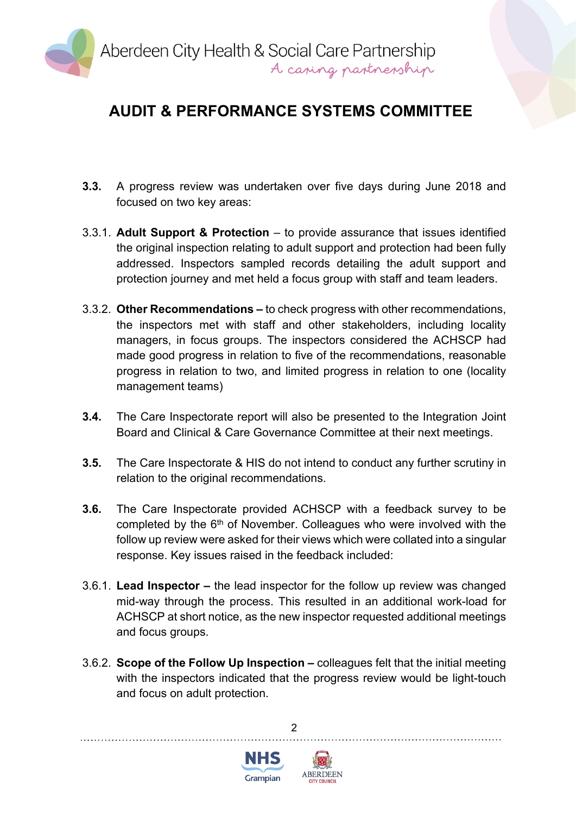

- **3.3.** A progress review was undertaken over five days during June 2018 and focused on two key areas:
- 3.3.1. **Adult Support & Protection** to provide assurance that issues identified the original inspection relating to adult support and protection had been fully addressed. Inspectors sampled records detailing the adult support and protection journey and met held a focus group with staff and team leaders.
- 3.3.2. **Other Recommendations –** to check progress with other recommendations, the inspectors met with staff and other stakeholders, including locality managers, in focus groups. The inspectors considered the ACHSCP had made good progress in relation to five of the recommendations, reasonable progress in relation to two, and limited progress in relation to one (locality management teams)
- **3.4.** The Care Inspectorate report will also be presented to the Integration Joint Board and Clinical & Care Governance Committee at their next meetings.
- **3.5.** The Care Inspectorate & HIS do not intend to conduct any further scrutiny in relation to the original recommendations.
- **3.6.** The Care Inspectorate provided ACHSCP with a feedback survey to be completed by the 6<sup>th</sup> of November. Colleagues who were involved with the follow up review were asked for their views which were collated into a singular response. Key issues raised in the feedback included:
- 3.6.1. **Lead Inspector –** the lead inspector for the follow up review was changed mid-way through the process. This resulted in an additional work-load for ACHSCP at short notice, as the new inspector requested additional meetings and focus groups.
- 3.6.2. **Scope of the Follow Up Inspection –** colleagues felt that the initial meeting with the inspectors indicated that the progress review would be light-touch and focus on adult protection.





 $\mathfrak{p}$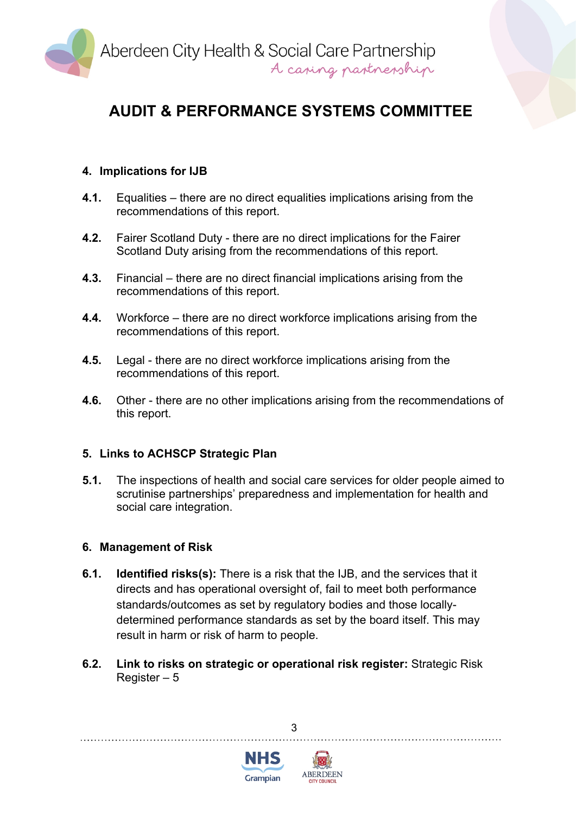

### **4. Implications for IJB**

- **4.1.** Equalities there are no direct equalities implications arising from the recommendations of this report.
- **4.2.** Fairer Scotland Duty there are no direct implications for the Fairer Scotland Duty arising from the recommendations of this report.
- **4.3.** Financial there are no direct financial implications arising from the recommendations of this report.
- **4.4.** Workforce there are no direct workforce implications arising from the recommendations of this report.
- **4.5.** Legal there are no direct workforce implications arising from the recommendations of this report.
- **4.6.** Other there are no other implications arising from the recommendations of this report.

#### **5. Links to ACHSCP Strategic Plan**

**5.1.** The inspections of health and social care services for older people aimed to scrutinise partnerships' preparedness and implementation for health and social care integration.

#### **6. Management of Risk**

- **6.1. Identified risks(s):** There is a risk that the IJB, and the services that it directs and has operational oversight of, fail to meet both performance standards/outcomes as set by regulatory bodies and those locallydetermined performance standards as set by the board itself. This may result in harm or risk of harm to people.
- **6.2. Link to risks on strategic or operational risk register:** Strategic Risk Register – 5

3